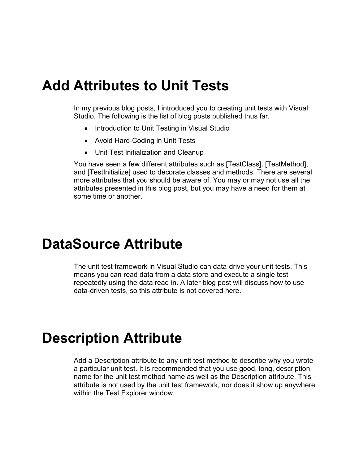#### **Add Attributes to Unit Tests**

In my previous blog posts, I introduced you to creating unit tests with Visual Studio. The following is the list of blog posts published thus far.

- Introduction to Unit Testing in Visual Studio
- Avoid Hard-Coding in Unit Tests
- Unit Test Initialization and Cleanup

You have seen a few different attributes such as [TestClass], [TestMethod], and [TestInitialize] used to decorate classes and methods. There are several more attributes that you should be aware of. You may or may not use all the attributes presented in this blog post, but you may have a need for them at some time or another.

#### **DataSource Attribute**

The unit test framework in Visual Studio can data-drive your unit tests. This means you can read data from a data store and execute a single test repeatedly using the data read in. A later blog post will discuss how to use data-driven tests, so this attribute is not covered here.

#### **Description Attribute**

Add a Description attribute to any unit test method to describe why you wrote a particular unit test. It is recommended that you use good, long, description name for the unit test method name as well as the Description attribute. This attribute is not used by the unit test framework, nor does it show up anywhere within the Test Explorer window.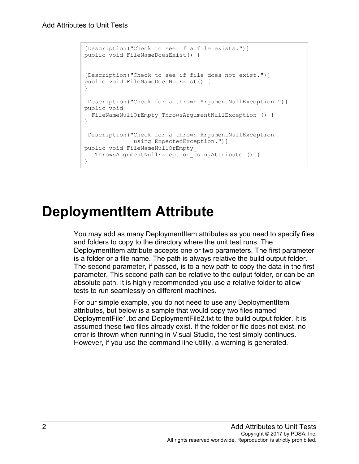```
[Description("Check to see if a file exists.")]
public void FileNameDoesExist() {
}
[Description("Check to see if file does not exist.")]
public void FileNameDoesNotExist() {
}
[Description("Check for a thrown ArgumentNullException.")]
public void 
 FileNameNullOrEmpty ThrowsArgumentNullException () {
}
[Description("Check for a thrown ArgumentNullException
              using ExpectedException.")]
public void FileNameNullOrEmpty_
   ThrowsArgumentNullException_UsingAttribute () {
}
```
## **DeploymentItem Attribute**

You may add as many DeploymentItem attributes as you need to specify files and folders to copy to the directory where the unit test runs. The DeploymentItem attribute accepts one or two parameters. The first parameter is a folder or a file name. The path is always relative the build output folder. The second parameter, if passed, is to a new path to copy the data in the first parameter. This second path can be relative to the output folder, or can be an absolute path. It is highly recommended you use a relative folder to allow tests to run seamlessly on different machines.

For our simple example, you do not need to use any DeploymentItem attributes, but below is a sample that would copy two files named DeploymentFile1.txt and DeploymentFile2.txt to the build output folder. It is assumed these two files already exist. If the folder or file does not exist, no error is thrown when running in Visual Studio, the test simply continues. However, if you use the command line utility, a warning is generated.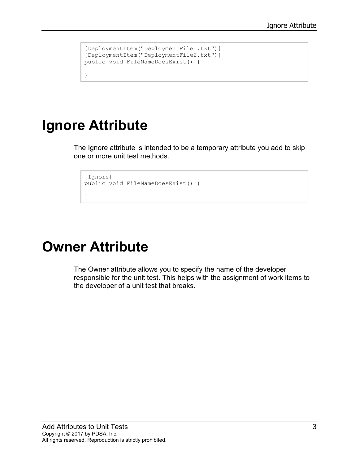```
[DeploymentItem("DeploymentFile1.txt")]
[DeploymentItem("DeploymentFile2.txt")]
public void FileNameDoesExist() {
```
### **Ignore Attribute**

}

The Ignore attribute is intended to be a temporary attribute you add to skip one or more unit test methods.

```
[Ignore]
public void FileNameDoesExist() {
}
```
### **Owner Attribute**

The Owner attribute allows you to specify the name of the developer responsible for the unit test. This helps with the assignment of work items to the developer of a unit test that breaks.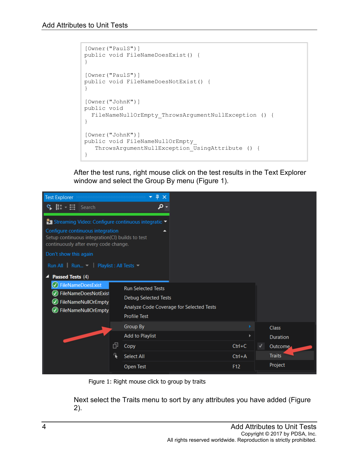```
[Owner("PaulS")]
public void FileNameDoesExist() {
}
[Owner("PaulS")]
public void FileNameDoesNotExist() {
}
[Owner("JohnK")]
public void 
  FileNameNullOrEmpty ThrowsArgumentNullException () {
}
[Owner("JohnK")]
public void FileNameNullOrEmpty_
    ThrowsArgumentNullException_UsingAttribute () {
}
```
After the test runs, right mouse click on the test results in the Text Explorer window and select the Group By menu [\(Figure 1\)](#page-3-0).



Figure 1: Right mouse click to group by traits

<span id="page-3-0"></span>Next select the Traits menu to sort by any attributes you have added [\(Figure](#page-4-0)  [2\)](#page-4-0).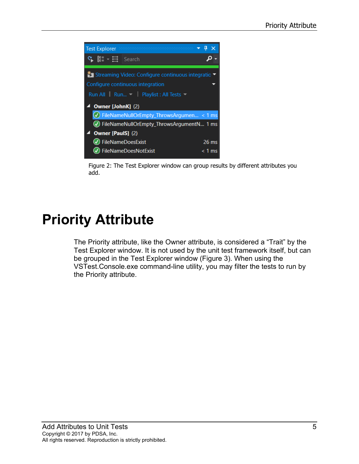

Figure 2: The Test Explorer window can group results by different attributes you add.

## <span id="page-4-0"></span>**Priority Attribute**

The Priority attribute, like the Owner attribute, is considered a "Trait" by the Test Explorer window. It is not used by the unit test framework itself, but can be grouped in the Test Explorer window [\(Figure 3\)](#page-5-0). When using the VSTest.Console.exe command-line utility, you may filter the tests to run by the Priority attribute.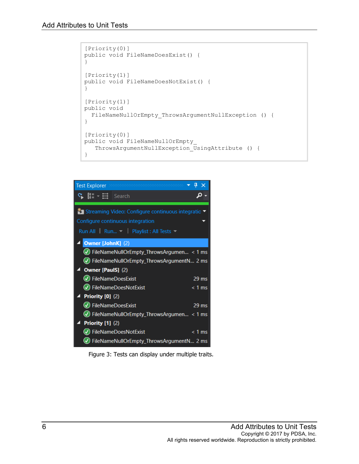```
[Priority(0)]
public void FileNameDoesExist() {
}
[Priority(1)]
public void FileNameDoesNotExist() {
}
[Priority(1)]
public void 
  FileNameNullOrEmpty_ThrowsArgumentNullException () {
}
[Priority(0)]
public void FileNameNullOrEmpty_
   ThrowsArgumentNullException UsingAttribute () {
}
```

| <b>Test Explorer</b>                                                           | Д        |
|--------------------------------------------------------------------------------|----------|
| $\mathcal{C}$ $\left[\frac{1}{k}\right]$ $\rightarrow$ $\frac{11}{k^2}$ Search |          |
| <sup>8</sup> Streaming Video: Configure continuous integratio ▼                |          |
| Configure continuous integration                                               |          |
| Run All Run Playlist: All Tests                                                |          |
| <b>Owner [JohnK] (2)</b>                                                       |          |
| $\bigcirc$ FileNameNullOrEmpty_ThrowsArgumen < 1 ms                            |          |
| (V) FileNameNullOrEmpty_ThrowsArgumentN 2 ms                                   |          |
| 4 Owner [PaulS] (2)                                                            |          |
| (V) FileNameDoesExist                                                          | $29$ ms  |
| (V) FileNameDoesNotExist                                                       | $< 1$ ms |
| <b>Priority [0] (2)</b>                                                        |          |
| (V) FileNameDoesExist                                                          | $29$ ms  |
| $\vee$ FileNameNullOrEmpty_ThrowsArgumen < 1 ms                                |          |
| <b>Priority [1] (2)</b>                                                        |          |
| V) FileNameDoesNotExist                                                        | $< 1$ ms |
| FileNameNullOrEmpty_ThrowsArgumentN 2 ms                                       |          |

<span id="page-5-0"></span>Figure 3: Tests can display under multiple traits.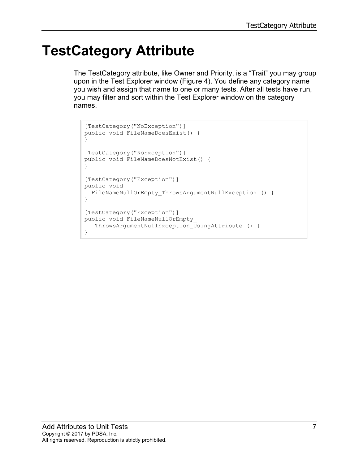# **TestCategory Attribute**

The TestCategory attribute, like Owner and Priority, is a "Trait" you may group upon in the Test Explorer window [\(Figure 4\)](#page-7-0). You define any category name you wish and assign that name to one or many tests. After all tests have run, you may filter and sort within the Test Explorer window on the category names.

```
[TestCategory("NoException")]
public void FileNameDoesExist() {
}
[TestCategory("NoException")]
public void FileNameDoesNotExist() {
}
[TestCategory("Exception")]
public void 
 FileNameNullOrEmpty ThrowsArgumentNullException () {
}
[TestCategory("Exception")]
public void FileNameNullOrEmpty_
    ThrowsArgumentNullException_UsingAttribute () {
}
```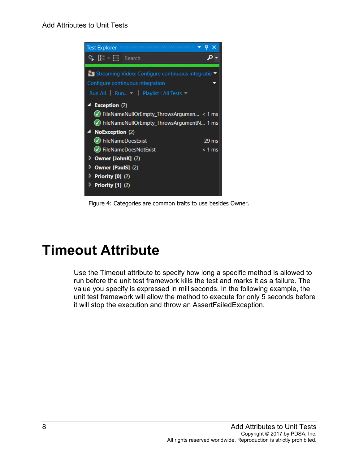

Figure 4: Categories are common traits to use besides Owner.

### <span id="page-7-0"></span>**Timeout Attribute**

Use the Timeout attribute to specify how long a specific method is allowed to run before the unit test framework kills the test and marks it as a failure. The value you specify is expressed in milliseconds. In the following example, the unit test framework will allow the method to execute for only 5 seconds before it will stop the execution and throw an AssertFailedException.